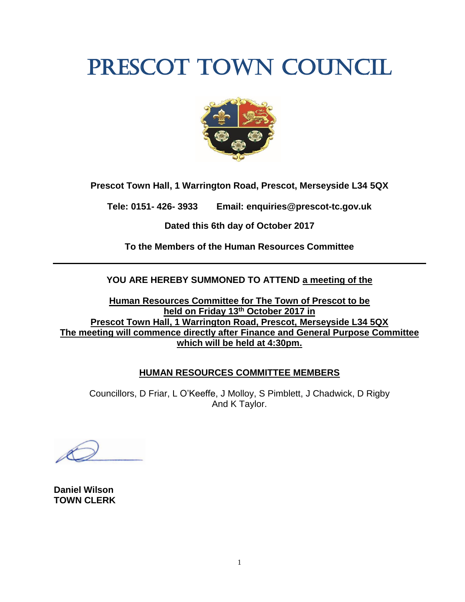# PRESCOT TOWN COUNCIL



**Prescot Town Hall, 1 Warrington Road, Prescot, Merseyside L34 5QX**

**Tele: 0151- 426- 3933 Email: enquiries@prescot-tc.gov.uk**

**Dated this 6th day of October 2017**

**To the Members of the Human Resources Committee**

**YOU ARE HEREBY SUMMONED TO ATTEND a meeting of the**

**Human Resources Committee for The Town of Prescot to be held on Friday 13th October 2017 in Prescot Town Hall, 1 Warrington Road, Prescot, Merseyside L34 5QX The meeting will commence directly after Finance and General Purpose Committee which will be held at 4:30pm.**

## **HUMAN RESOURCES COMMITTEE MEMBERS**

Councillors, D Friar, L O'Keeffe, J Molloy, S Pimblett, J Chadwick, D Rigby And K Taylor.

**Daniel Wilson TOWN CLERK**